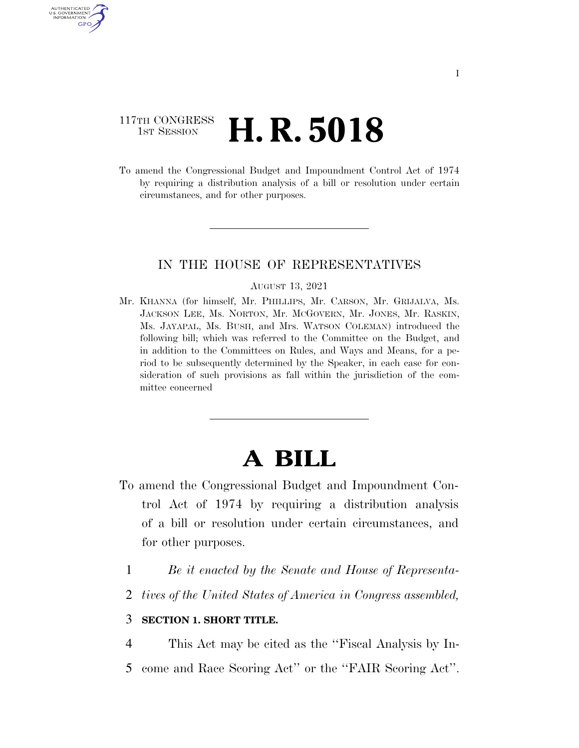## 117TH CONGRESS <sup>TH CONGRESS</sup>  $\,$  **H. R. 5018**

AUTHENTICATED U.S. GOVERNMENT GPO

> To amend the Congressional Budget and Impoundment Control Act of 1974 by requiring a distribution analysis of a bill or resolution under certain circumstances, and for other purposes.

### IN THE HOUSE OF REPRESENTATIVES

#### AUGUST 13, 2021

Mr. KHANNA (for himself, Mr. PHILLIPS, Mr. CARSON, Mr. GRIJALVA, Ms. JACKSON LEE, Ms. NORTON, Mr. MCGOVERN, Mr. JONES, Mr. RASKIN, Ms. JAYAPAL, Ms. BUSH, and Mrs. WATSON COLEMAN) introduced the following bill; which was referred to the Committee on the Budget, and in addition to the Committees on Rules, and Ways and Means, for a period to be subsequently determined by the Speaker, in each case for consideration of such provisions as fall within the jurisdiction of the committee concerned

# **A BILL**

- To amend the Congressional Budget and Impoundment Control Act of 1974 by requiring a distribution analysis of a bill or resolution under certain circumstances, and for other purposes.
	- 1 *Be it enacted by the Senate and House of Representa-*
	- 2 *tives of the United States of America in Congress assembled,*

### 3 **SECTION 1. SHORT TITLE.**

4 This Act may be cited as the ''Fiscal Analysis by In-5 come and Race Scoring Act'' or the ''FAIR Scoring Act''.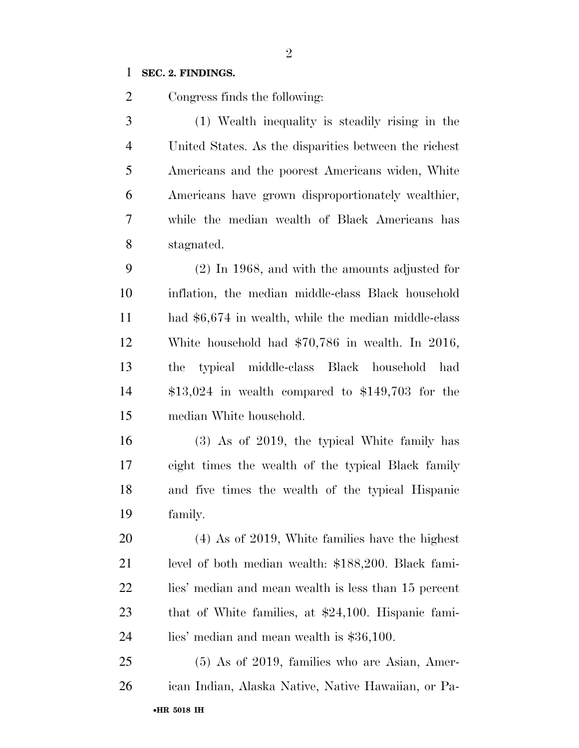### **SEC. 2. FINDINGS.**

Congress finds the following:

 (1) Wealth inequality is steadily rising in the United States. As the disparities between the richest Americans and the poorest Americans widen, White Americans have grown disproportionately wealthier, while the median wealth of Black Americans has stagnated.

 (2) In 1968, and with the amounts adjusted for inflation, the median middle-class Black household had \$6,674 in wealth, while the median middle-class White household had \$70,786 in wealth. In 2016, the typical middle-class Black household had \$13,024 in wealth compared to \$149,703 for the median White household.

 (3) As of 2019, the typical White family has eight times the wealth of the typical Black family and five times the wealth of the typical Hispanic family.

 (4) As of 2019, White families have the highest level of both median wealth: \$188,200. Black fami- lies' median and mean wealth is less than 15 percent that of White families, at \$24,100. Hispanic fami-lies' median and mean wealth is \$36,100.

•**HR 5018 IH** (5) As of 2019, families who are Asian, Amer-ican Indian, Alaska Native, Native Hawaiian, or Pa-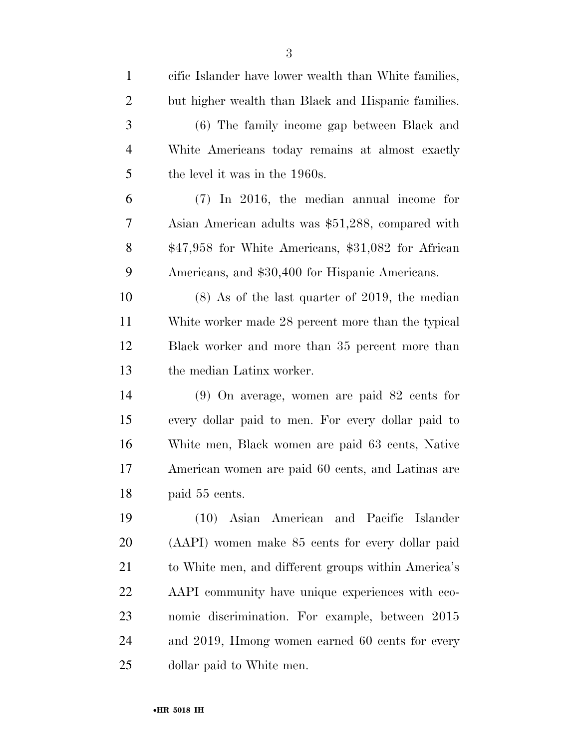| $\mathbf{1}$   | cific Islander have lower wealth than White families, |
|----------------|-------------------------------------------------------|
| $\overline{2}$ | but higher wealth than Black and Hispanic families.   |
| 3              | (6) The family income gap between Black and           |
| $\overline{4}$ | White Americans today remains at almost exactly       |
| 5              | the level it was in the 1960s.                        |
| 6              | $(7)$ In 2016, the median annual income for           |
| 7              | Asian American adults was \$51,288, compared with     |
| 8              | $$47,958$ for White Americans, $$31,082$ for African  |
| 9              | Americans, and \$30,400 for Hispanic Americans.       |
| 10             | $(8)$ As of the last quarter of 2019, the median      |
| 11             | White worker made 28 percent more than the typical    |
| 12             | Black worker and more than 35 percent more than       |
| 13             | the median Latinx worker.                             |
| 14             | $(9)$ On average, women are paid 82 cents for         |
| 15             | every dollar paid to men. For every dollar paid to    |
| 16             | White men, Black women are paid 63 cents, Native      |
| 17             | American women are paid 60 cents, and Latinas are     |
| 18             | paid 55 cents.                                        |
| 19             | (10) Asian American and Pacific Islander              |
| 20             | (AAPI) women make 85 cents for every dollar paid      |
| 21             | to White men, and different groups within America's   |
| 22             | AAPI community have unique experiences with eco-      |
| 23             | nomic discrimination. For example, between 2015       |
| 24             | and 2019, Hmong women earned 60 cents for every       |
| 25             | dollar paid to White men.                             |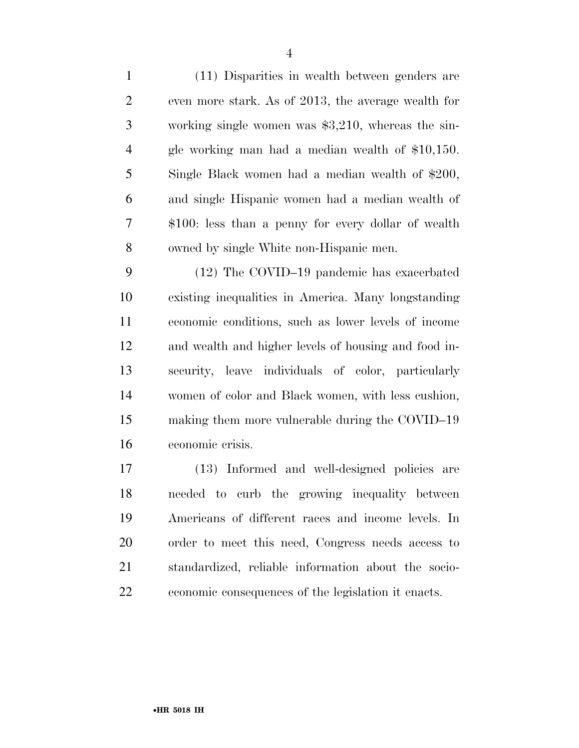(11) Disparities in wealth between genders are even more stark. As of 2013, the average wealth for working single women was \$3,210, whereas the sin- gle working man had a median wealth of \$10,150. Single Black women had a median wealth of \$200, and single Hispanic women had a median wealth of \$100: less than a penny for every dollar of wealth owned by single White non-Hispanic men.

 (12) The COVID–19 pandemic has exacerbated existing inequalities in America. Many longstanding economic conditions, such as lower levels of income and wealth and higher levels of housing and food in- security, leave individuals of color, particularly women of color and Black women, with less cushion, making them more vulnerable during the COVID–19 economic crisis.

 (13) Informed and well-designed policies are needed to curb the growing inequality between Americans of different races and income levels. In order to meet this need, Congress needs access to standardized, reliable information about the socio-economic consequences of the legislation it enacts.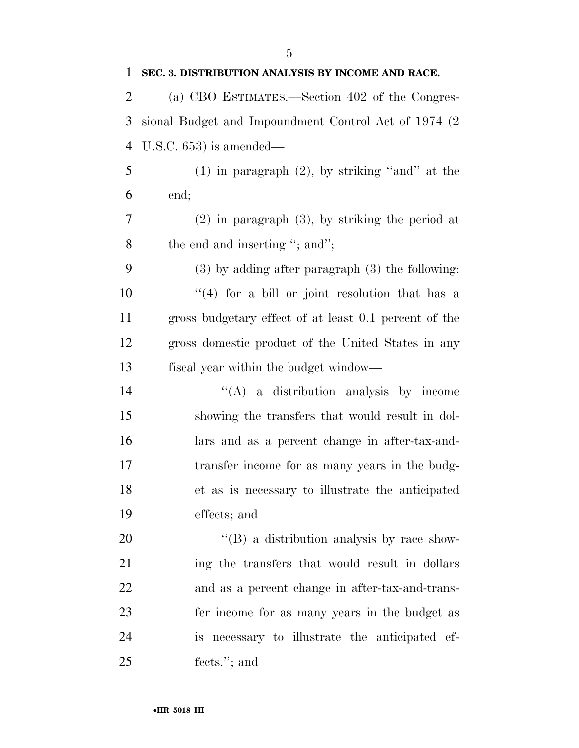| 1              | SEC. 3. DISTRIBUTION ANALYSIS BY INCOME AND RACE.     |
|----------------|-------------------------------------------------------|
| $\overline{2}$ | (a) CBO ESTIMATES.—Section 402 of the Congres-        |
| 3              | sional Budget and Impoundment Control Act of 1974 (2) |
| $\overline{4}$ | U.S.C. $653$ ) is amended—                            |
| 5              | $(1)$ in paragraph $(2)$ , by striking "and" at the   |
| 6              | end;                                                  |
| 7              | $(2)$ in paragraph $(3)$ , by striking the period at  |
| 8              | the end and inserting "; and";                        |
| 9              | $(3)$ by adding after paragraph $(3)$ the following:  |
| 10             | $(4)$ for a bill or joint resolution that has a       |
| 11             | gross budgetary effect of at least 0.1 percent of the |
| 12             | gross domestic product of the United States in any    |
| 13             | fiscal year within the budget window—                 |
| 14             | $\lq\lq$ a distribution analysis by income            |
| 15             | showing the transfers that would result in dol-       |
| 16             | lars and as a percent change in after-tax-and-        |
| 17             | transfer income for as many years in the budg-        |
| 18             | et as is necessary to illustrate the anticipated      |
| 19             | effects; and                                          |
| 20             | $\lq\lq (B)$ a distribution analysis by race show-    |
| 21             | ing the transfers that would result in dollars        |
| 22             | and as a percent change in after-tax-and-trans-       |
| 23             | fer income for as many years in the budget as         |
| 24             | is necessary to illustrate the anticipated ef-        |
| 25             | fects."; and                                          |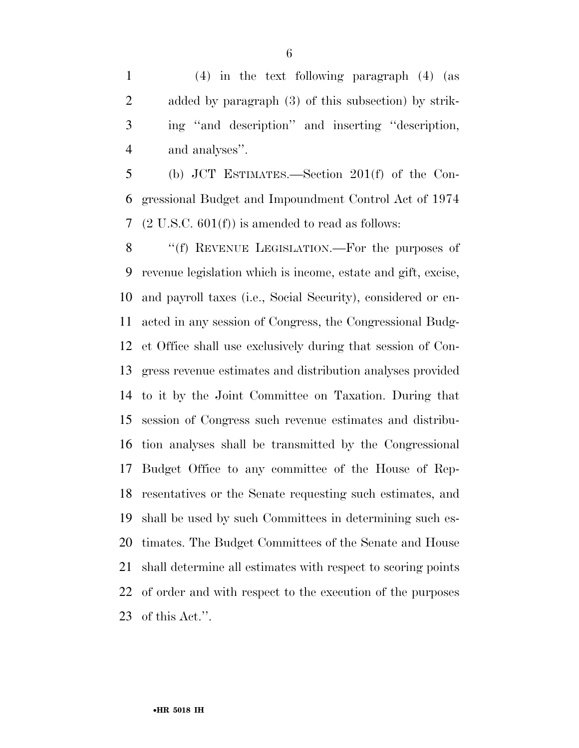(4) in the text following paragraph (4) (as added by paragraph (3) of this subsection) by strik- ing ''and description'' and inserting ''description, and analyses''.

 (b) JCT ESTIMATES.—Section 201(f) of the Con- gressional Budget and Impoundment Control Act of 1974 (2 U.S.C. 601(f)) is amended to read as follows:

8 "(f) REVENUE LEGISLATION.—For the purposes of revenue legislation which is income, estate and gift, excise, and payroll taxes (i.e., Social Security), considered or en- acted in any session of Congress, the Congressional Budg- et Office shall use exclusively during that session of Con- gress revenue estimates and distribution analyses provided to it by the Joint Committee on Taxation. During that session of Congress such revenue estimates and distribu- tion analyses shall be transmitted by the Congressional Budget Office to any committee of the House of Rep- resentatives or the Senate requesting such estimates, and shall be used by such Committees in determining such es- timates. The Budget Committees of the Senate and House shall determine all estimates with respect to scoring points of order and with respect to the execution of the purposes of this Act.''.